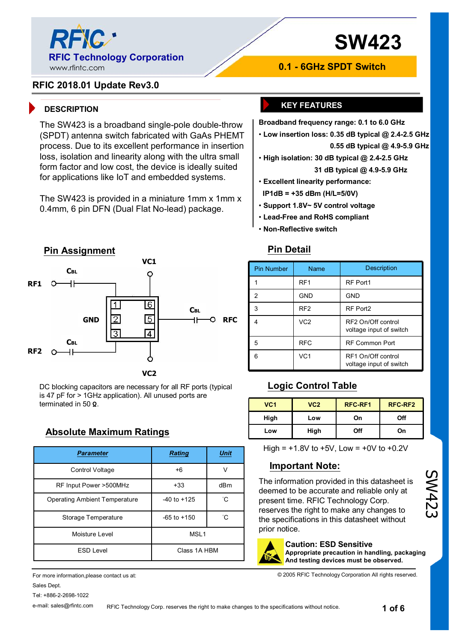

# **SW423**

## **RFIC 2018.01 Update Rev3.0**

The SW423 is a broadband single-pole double-throw (SPDT) antenna switch fabricated with GaAs PHEMT process. Due to its excellent performance in insertion loss, isolation and linearity along with the ultra small form factor and low cost, the device is ideally suited for applications like IoT and embedded systems.

The SW423 is provided in a miniature 1mm x 1mm x 0.4mm, 6 pin DFN (Dual Flat No-lead) package.



DC blocking capacitors are necessary for all RF ports (typical is 47 pF for > 1GHz application). All unused ports are terminated in 50 **Ω**.

## **Absolute Maximum Ratings**

| <b>Parameter</b>                     | <b>Rating</b>    | <b>Unit</b> |  |
|--------------------------------------|------------------|-------------|--|
| Control Voltage                      | $+6$             | V           |  |
| RF Input Power >500MHz               | $+33$            | dBm         |  |
| <b>Operating Ambient Temperature</b> | $-40$ to $+125$  | °С          |  |
| Storage Temperature                  | $-65$ to $+150$  | °С          |  |
| Moisture Level                       | MSL <sub>1</sub> |             |  |
| <b>ESD Level</b>                     | Class 1A HBM     |             |  |

For more information,please contact us at: Sales Dept. Tel: +886-2-2698-1022

#### e-mail: sales@rfintc.com

## **DESCRIPTION KEY FEATURES**

**Broadband frequency range: 0.1 to 6.0 GHz** 

**0.1 - 6GHz SPDT Switch**

• **Low insertion loss: 0.35 dB typical @ 2.4-2.5 GHz 0.55 dB typical @ 4.9-5.9 GHz** 

• **High isolation: 30 dB typical @ 2.4-2.5 GHz 31 dB typical @ 4.9-5.9 GHz** 

- **Excellent linearity performance:**
- **IP1dB = +35 dBm (H/L=5/0V)**
- **Support 1.8V~ 5V control voltage**
- **Lead-Free and RoHS compliant**
- **Non-Reflective switch**

### **Pin Detail**

| <b>Pin Number</b> | Name            | <b>Description</b>                            |
|-------------------|-----------------|-----------------------------------------------|
|                   | RF <sub>1</sub> | RF Port1                                      |
| 2                 | <b>GND</b>      | <b>GND</b>                                    |
| 3                 | RF <sub>2</sub> | RF Port2                                      |
|                   | VC <sub>2</sub> | RF2 On/Off control<br>voltage input of switch |
| 5                 | <b>RFC</b>      | <b>RF Common Port</b>                         |
|                   | VC <sub>1</sub> | RF1 On/Off control<br>voltage input of switch |

## **Logic Control Table**

| VC <sub>1</sub> | VC2  | <b>RFC-RF1</b> | RFC-RF2 |
|-----------------|------|----------------|---------|
| High            | Low  | On             | Off     |
| Low             | High | Off            | On      |

High =  $+1.8V$  to  $+5V$ , Low =  $+0V$  to  $+0.2V$ 

## **Important Note:**

The information provided in this datasheet is deemed to be accurate and reliable only at present time. RFIC Technology Corp. reserves the right to make any changes to the specifications in this datasheet without prior notice.

#### **Caution: ESD Sensitive**

**Appropriate precaution in handling, packaging And testing devices must be observed.**

© 2005 RFIC Technology Corporation All rights reserved.

RFIC Technology Corp. reserves the right to make changes to the specifications without notice.

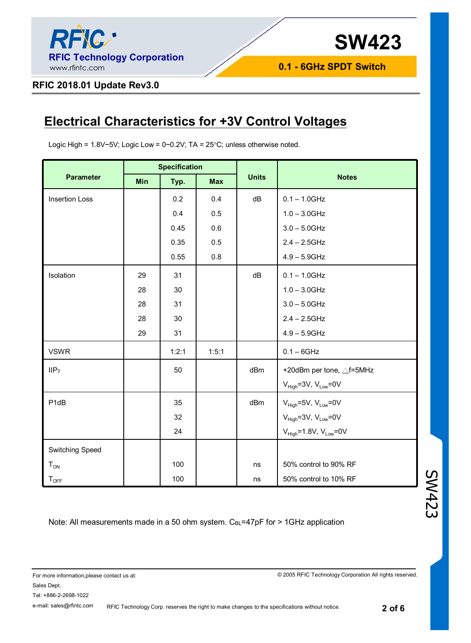

### **RFIC 2018.01 Update Rev3.0**

## **Electrical Characteristics for +3V Control Voltages**

Logic High =  $1.8V \sim 5V$ ; Logic Low =  $0 \sim 0.2V$ ; TA =  $25°C$ ; unless otherwise noted.

|                       | <b>Specification</b> |       |            |              |                                 |
|-----------------------|----------------------|-------|------------|--------------|---------------------------------|
| <b>Parameter</b>      | Min                  | Typ.  | <b>Max</b> | <b>Units</b> | <b>Notes</b>                    |
| <b>Insertion Loss</b> |                      | 0.2   | 0.4        | dB           | $0.1 - 1.0$ GHz                 |
|                       |                      | 0.4   | 0.5        |              | $1.0 - 3.0$ GHz                 |
|                       |                      | 0.45  | 0.6        |              | $3.0 - 5.0$ GHz                 |
|                       |                      | 0.35  | 0.5        |              | $2.4 - 2.5$ GHz                 |
|                       |                      | 0.55  | 0.8        |              | $4.9 - 5.9$ GHz                 |
| Isolation             | 29                   | 31    |            | dB           | $0.1 - 1.0$ GHz                 |
|                       | 28                   | 30    |            |              | $1.0 - 3.0$ GHz                 |
|                       | 28                   | 31    |            |              | $3.0 - 5.0$ GHz                 |
|                       | 28                   | 30    |            |              | $2.4 - 2.5$ GHz                 |
|                       | 29                   | 31    |            |              | $4.9 - 5.9$ GHz                 |
| <b>VSWR</b>           |                      | 1:2:1 | 1:5:1      |              | $0.1 - 6$ GHz                   |
| IIP <sub>3</sub>      |                      | 50    |            | dBm          | +20dBm per tone, △f=5MHz        |
|                       |                      |       |            |              | $V_{High}$ =3V, $V_{Low}$ =0V   |
| P <sub>1</sub> dB     |                      | 35    |            | dBm          | $V_{High}$ =5V, $V_{Low}$ =0V   |
|                       |                      | 32    |            |              | $V_{High} = 3V, V_{Low} = 0V$   |
|                       |                      | 24    |            |              | $V_{High} = 1.8V, V_{Low} = 0V$ |
| Switching Speed       |                      |       |            |              |                                 |
| $T_{ON}$              |                      | 100   |            | ns           | 50% control to 90% RF           |
| $T_{\text{OFF}}$      |                      | 100   |            | ns           | 50% control to 10% RF           |

Note: All measurements made in a 50 ohm system.  $C_{BL}$ =47pF for > 1GHz application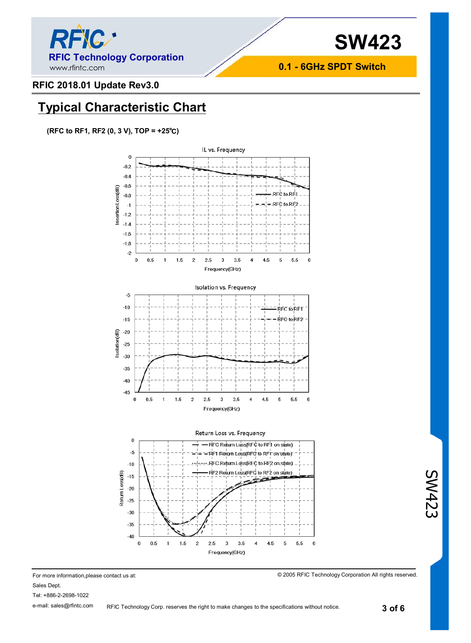

## **RFIC 2018.01 Update Rev3.0**

## **Typical Characteristic Chart**

**(RFC to RF1, RF2 (0, 3 V), TOP = +25℃)**



For more information,please contact us at: Sales Dept. Tel: +886-2-2698-1022 e-mail: sales@rfintc.com RFIC Technology Corp. reserves the right to make changes to the specifications without notice.

© 2005 RFIC Technology Corporation All rights reserved.

**3 of 6** 

SW423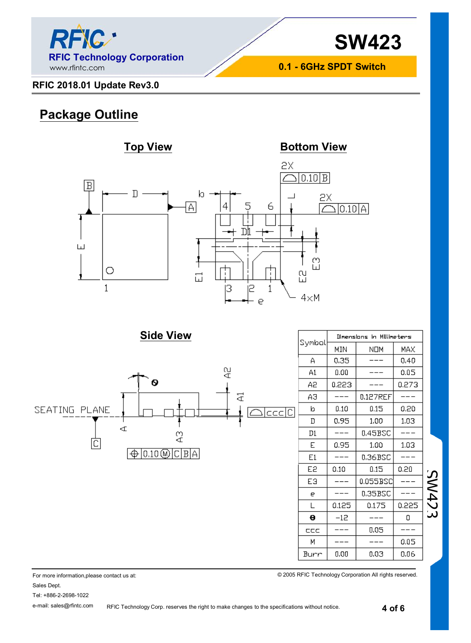

## **RFIC 2018.01 Update Rev3.0**

## **Package Outline**



**Side View**



| Symbal | Dimensions in Millimeters |          |       |  |  |
|--------|---------------------------|----------|-------|--|--|
|        | MIN                       | NOM      | MAX   |  |  |
| Α      | 0.35                      |          | 0.40  |  |  |
| A1     | 0.00                      |          | 0.05  |  |  |
| А2     | 0.223                     |          | 0.273 |  |  |
| ΑЭ     |                           | 0.127REF |       |  |  |
| b      | 0.10                      | 0.15     | 0.20  |  |  |
| D      | 0.95                      | 1.00     | 1,03  |  |  |
| D1     | ---                       | 0.45BSC  |       |  |  |
| E      | 0.95                      | 1.00     | 1.03  |  |  |
| E1     |                           | 0.36BSC  |       |  |  |
| E2     | 0.10                      | 0.15     | 0.20  |  |  |
| EЭ     |                           | 0.055BSC |       |  |  |
| е      |                           | 0.35BSC  |       |  |  |
| L      | 0.125                     | 0.175    | 0.225 |  |  |
| θ      | $-12$                     |          | ۵     |  |  |
| CCC    |                           | 0.05     |       |  |  |
| М      |                           |          | 0.05  |  |  |
| Burr   | 0.00                      | 0.03     | 0.06  |  |  |

© 2005 RFIC Technology Corporation All rights reserved.

SW423

For more information,please contact us at:

Sales Dept.

Tel: +886-2-2698-1022

e-mail: sales@rfintc.com

RFIC Technology Corp. reserves the right to make changes to the specifications without notice.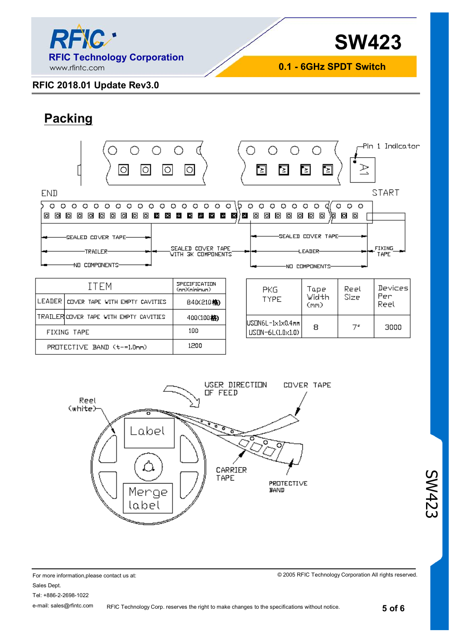

## **RFIC 2018.01 Update Rev3.0**

## **Packing**

FIXING TAPE

|                                                                                                                                                                                                                 | О                                                                                                                             |                         | ⊡<br>Е                                                           | 图<br>٦,                                                                                      | R                      | -Pln 1 Indicator |
|-----------------------------------------------------------------------------------------------------------------------------------------------------------------------------------------------------------------|-------------------------------------------------------------------------------------------------------------------------------|-------------------------|------------------------------------------------------------------|----------------------------------------------------------------------------------------------|------------------------|------------------|
| <b>END</b>                                                                                                                                                                                                      |                                                                                                                               |                         |                                                                  |                                                                                              |                        | <b>START</b>     |
| $\circ$<br>$\circ$<br>$\circ$<br>$\circ$<br>O<br>$\circ$<br>$\circ$<br>O<br>o<br>O<br>O<br>o<br>o<br>ाञ<br>o<br>ы<br>ाठा<br>ाञ<br>ाठा<br>同<br>ы<br>38<br>圝<br>SEALED COVER TAPE-<br>-TRAILER-<br>NO COMPONENTS- | O<br>$\circ$<br>$\circ$<br>$\circ$<br>$\circ$<br>в<br>E.<br>a de la<br>PS.<br>i de<br>SEALED COVER TAPE<br>WITH 3K COMPONENTS | $\circ$<br>D<br>∤⊠<br>ø | $\circ$<br>$\circ$<br>$\circ$<br>Ω<br>O<br>⊡<br>o<br>Ō<br>同<br>o | $\circ$<br>$\circ$<br>o<br>⊡<br>۱ы<br>SEALED COVER TAPE-<br><b>LEADER-</b><br>NO COMPONENTS- | $O$ $O$<br>O<br>ø<br>o | FIXING<br>TAPE   |
| <b>ITEM</b>                                                                                                                                                                                                     | SPECIFICATION<br>(nm)(nininum)                                                                                                |                         | <b>PKG</b>                                                       | Tape                                                                                         | Reel                   | Devices          |
| LEADER<br>COVER TAPE WITH EMPTY CAVITIES                                                                                                                                                                        | B4D(210格)                                                                                                                     |                         | TYPE                                                             | Width<br>(mm)                                                                                | Size                   | Per<br>Reel      |
| TRAILERICOVER TAPE WITH EMPTY CAVITIES                                                                                                                                                                          | 400(100格)                                                                                                                     |                         |                                                                  |                                                                                              |                        |                  |

USON6L-1x1x0.4mm

USON-6L(1.0x1.0)

PROTECTIVE BAND

| PROTECTIVE BAND (t-=1.0mm) | 1200    |                     |                   |  |
|----------------------------|---------|---------------------|-------------------|--|
| Reel<br>(white)<br>_abel   | OF FEED | USER DIRECTION<br>о | <b>COVER TAPE</b> |  |
|                            |         | CARRIER             |                   |  |

Merge label

100

1200

For more information,please contact us at: Sales Dept. Tel: +886-2-2698-1022 e-mail: sales@rfintc.com

© 2005 RFIC Technology Corporation All rights reserved.

 $7<sup>o</sup>$ 

8

3000

SW423

TAPE